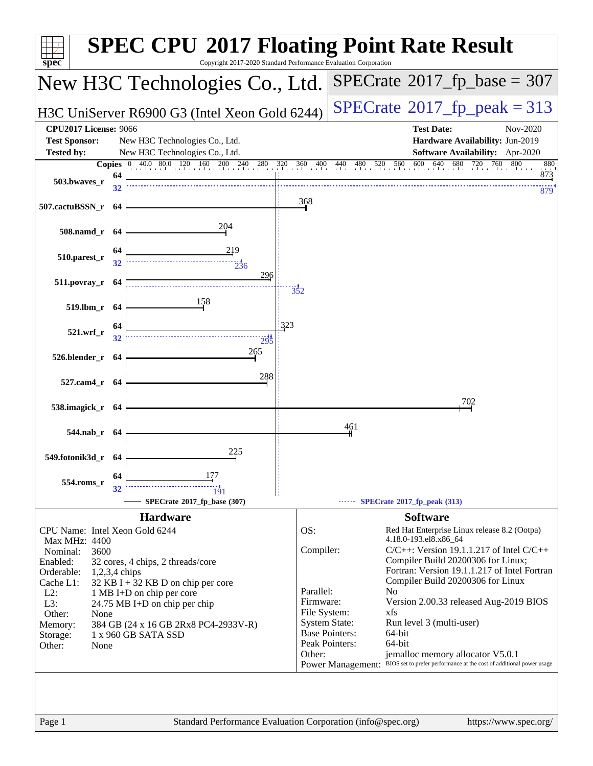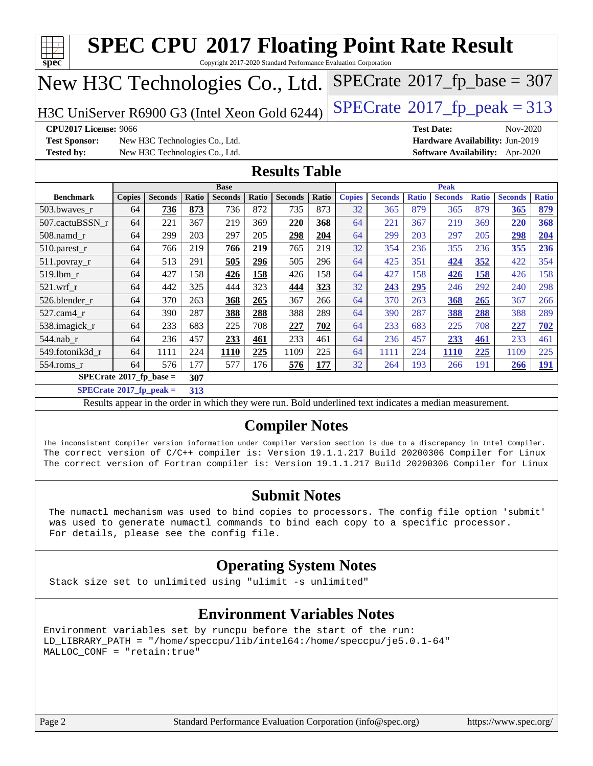| Spec                                                                                                                                                                                               |                                                                                                                     |                                |       | <b>SPEC CPU®2017 Floating Point Rate Result</b>                                                          |              |                      |              |               |                |              |                   |              |                                        |              |
|----------------------------------------------------------------------------------------------------------------------------------------------------------------------------------------------------|---------------------------------------------------------------------------------------------------------------------|--------------------------------|-------|----------------------------------------------------------------------------------------------------------|--------------|----------------------|--------------|---------------|----------------|--------------|-------------------|--------------|----------------------------------------|--------------|
| Copyright 2017-2020 Standard Performance Evaluation Corporation<br>$SPECTate$ <sup>®</sup> 2017_fp_base = 307<br>New H3C Technologies Co., Ltd.                                                    |                                                                                                                     |                                |       |                                                                                                          |              |                      |              |               |                |              |                   |              |                                        |              |
| $SPECTate@2017_fp\_peak = 313$<br>H3C UniServer R6900 G3 (Intel Xeon Gold 6244)                                                                                                                    |                                                                                                                     |                                |       |                                                                                                          |              |                      |              |               |                |              |                   |              |                                        |              |
| <b>CPU2017 License: 9066</b>                                                                                                                                                                       |                                                                                                                     |                                |       |                                                                                                          |              |                      |              |               |                |              | <b>Test Date:</b> |              | Nov-2020                               |              |
| <b>Test Sponsor:</b>                                                                                                                                                                               |                                                                                                                     | New H3C Technologies Co., Ltd. |       |                                                                                                          |              |                      |              |               |                |              |                   |              | Hardware Availability: Jun-2019        |              |
| <b>Tested by:</b>                                                                                                                                                                                  |                                                                                                                     | New H3C Technologies Co., Ltd. |       |                                                                                                          |              |                      |              |               |                |              |                   |              | <b>Software Availability:</b> Apr-2020 |              |
|                                                                                                                                                                                                    |                                                                                                                     |                                |       |                                                                                                          |              | <b>Results Table</b> |              |               |                |              |                   |              |                                        |              |
|                                                                                                                                                                                                    |                                                                                                                     |                                |       | <b>Base</b>                                                                                              |              |                      |              |               |                |              | <b>Peak</b>       |              |                                        |              |
| <b>Benchmark</b>                                                                                                                                                                                   | <b>Copies</b>                                                                                                       | <b>Seconds</b>                 | Ratio | <b>Seconds</b>                                                                                           | <b>Ratio</b> | <b>Seconds</b>       | <b>Ratio</b> | <b>Copies</b> | <b>Seconds</b> | <b>Ratio</b> | <b>Seconds</b>    | <b>Ratio</b> | <b>Seconds</b>                         | <b>Ratio</b> |
| 503.bwaves_r                                                                                                                                                                                       | 64                                                                                                                  | 736                            | 873   | 736                                                                                                      | 872          | 735                  | 873          | 32            | 365            | 879          | 365               | 879          | <u>365</u>                             | 879          |
| 507.cactuBSSN_r                                                                                                                                                                                    | 64                                                                                                                  | 221                            | 367   | 219                                                                                                      | 369          | 220                  | 368          | 64            | 221            | 367          | 219               | 369          | 220                                    | 368          |
| 508.namd r                                                                                                                                                                                         | 64                                                                                                                  | 299                            | 203   | 297                                                                                                      | 205          | 298                  | 204          | 64            | 299            | 203          | 297               | 205          | 298                                    | 204          |
| 510.parest_r                                                                                                                                                                                       | 64                                                                                                                  | 766                            | 219   | 766                                                                                                      | 219          | 765                  | 219          | 32            | 354            | 236          | 355               | 236          | 355                                    | 236          |
| 511.povray_r                                                                                                                                                                                       | 64                                                                                                                  | 513                            | 291   | 505                                                                                                      | 296          | 505                  | 296          | 64            | 425            | 351          | 424               | 352          | 422                                    | 354          |
| 519.1bm r                                                                                                                                                                                          | 64                                                                                                                  | 427                            | 158   | 426                                                                                                      | 158          | 426                  | 158          | 64            | 427            | 158          | 426               | 158          | 426                                    | 158          |
| $521$ .wrf r                                                                                                                                                                                       | 64                                                                                                                  | 442                            | 325   | 444                                                                                                      | 323          | 444                  | 323          | 32            | 243            | 295          | 246               | 292          | 240                                    | 298          |
| 526.blender r                                                                                                                                                                                      | 64                                                                                                                  | 370                            | 263   | 368                                                                                                      | 265          | 367                  | 266          | 64            | 370            | 263          | 368               | 265          | 367                                    | 266          |
| 527.cam4_r                                                                                                                                                                                         | 64                                                                                                                  | 390                            | 287   | 388                                                                                                      | 288          | 388                  | 289          | 64            | 390            | 287          | 388               | 288          | 388                                    | 289          |
| 538.imagick_r                                                                                                                                                                                      | 64                                                                                                                  | 233                            | 683   | 225                                                                                                      | 708          | 227                  | 702          | 64            | 233            | 683          | 225               | 708          | 227                                    | 702          |
| 544.nab_r                                                                                                                                                                                          | 64                                                                                                                  | 236                            | 457   | 233                                                                                                      | 461          | 233                  | 461          | 64            | 236            | 457          | 233               | 461          | 233                                    | 461          |
| 549.fotonik3d_r                                                                                                                                                                                    | 64                                                                                                                  | 1111                           | 224   | 1110                                                                                                     | 225          | 1109                 | 225          | 64            | 1111           | 224          | 1110              | 225          | 1109                                   | 225          |
| 554.roms_r                                                                                                                                                                                         | 64                                                                                                                  | 576                            | 177   | 577                                                                                                      | 176          | 576                  | 177          | 32            | 264            | 193          | 266               | 191          | 266                                    | 191          |
| $SPECrate$ <sup>®</sup> 2017_fp_base =                                                                                                                                                             |                                                                                                                     |                                | 307   |                                                                                                          |              |                      |              |               |                |              |                   |              |                                        |              |
| $SPECrate^{\otimes}2017$ _fp_peak =                                                                                                                                                                |                                                                                                                     |                                | 313   |                                                                                                          |              |                      |              |               |                |              |                   |              |                                        |              |
|                                                                                                                                                                                                    |                                                                                                                     |                                |       | Results appear in the order in which they were run. Bold underlined text indicates a median measurement. |              |                      |              |               |                |              |                   |              |                                        |              |
| <b>Compiler Notes</b>                                                                                                                                                                              |                                                                                                                     |                                |       |                                                                                                          |              |                      |              |               |                |              |                   |              |                                        |              |
| The inconsistent Compiler version information under Compiler Version section is due to a discrepancy in Intel Compiler.                                                                            |                                                                                                                     |                                |       |                                                                                                          |              |                      |              |               |                |              |                   |              |                                        |              |
| The correct version of C/C++ compiler is: Version 19.1.1.217 Build 20200306 Compiler for Linux<br>The correct version of Fortran compiler is: Version 19.1.1.217 Build 20200306 Compiler for Linux |                                                                                                                     |                                |       |                                                                                                          |              |                      |              |               |                |              |                   |              |                                        |              |
|                                                                                                                                                                                                    |                                                                                                                     |                                |       |                                                                                                          |              |                      |              |               |                |              |                   |              |                                        |              |
|                                                                                                                                                                                                    |                                                                                                                     |                                |       |                                                                                                          |              |                      |              |               |                |              |                   |              |                                        |              |
|                                                                                                                                                                                                    |                                                                                                                     |                                |       |                                                                                                          |              |                      |              |               |                |              |                   |              |                                        |              |
|                                                                                                                                                                                                    | <b>Submit Notes</b><br>The numactl mechanism was used to bind copies to processors. The config file option 'submit' |                                |       |                                                                                                          |              |                      |              |               |                |              |                   |              |                                        |              |

 The numactl mechanism was used to bind copies to processors. The config file option 'submit' was used to generate numactl commands to bind each copy to a specific processor. For details, please see the config file.

#### **[Operating System Notes](http://www.spec.org/auto/cpu2017/Docs/result-fields.html#OperatingSystemNotes)**

Stack size set to unlimited using "ulimit -s unlimited"

#### **[Environment Variables Notes](http://www.spec.org/auto/cpu2017/Docs/result-fields.html#EnvironmentVariablesNotes)**

Environment variables set by runcpu before the start of the run: LD\_LIBRARY\_PATH = "/home/speccpu/lib/intel64:/home/speccpu/je5.0.1-64" MALLOC\_CONF = "retain:true"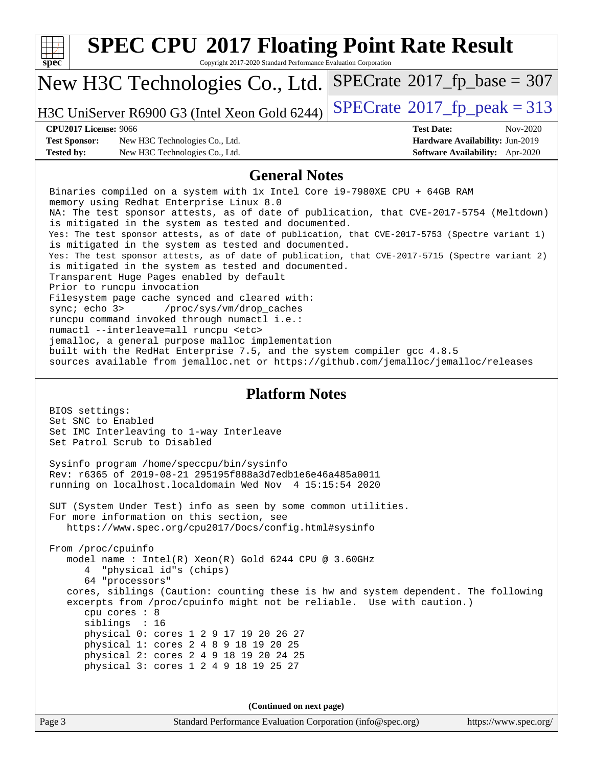| <b>SPEC CPU®2017 Floating Point Rate Result</b>                                                                                                          |                                                                       |  |  |  |  |  |
|----------------------------------------------------------------------------------------------------------------------------------------------------------|-----------------------------------------------------------------------|--|--|--|--|--|
| Copyright 2017-2020 Standard Performance Evaluation Corporation<br>$spec^*$                                                                              |                                                                       |  |  |  |  |  |
| New H3C Technologies Co., Ltd.                                                                                                                           | $SPECrate^{\circ}2017$ fp base = 307                                  |  |  |  |  |  |
| H3C UniServer R6900 G3 (Intel Xeon Gold 6244)                                                                                                            | $SPECTate$ <sup>®</sup> 2017_fp_peak = 313                            |  |  |  |  |  |
| <b>CPU2017 License: 9066</b>                                                                                                                             | <b>Test Date:</b><br>Nov-2020                                         |  |  |  |  |  |
| <b>Test Sponsor:</b><br>New H3C Technologies Co., Ltd.<br><b>Tested by:</b><br>New H3C Technologies Co., Ltd.                                            | Hardware Availability: Jun-2019<br>Software Availability: Apr-2020    |  |  |  |  |  |
| <b>General Notes</b>                                                                                                                                     |                                                                       |  |  |  |  |  |
| Binaries compiled on a system with 1x Intel Core i9-7980XE CPU + 64GB RAM                                                                                |                                                                       |  |  |  |  |  |
| memory using Redhat Enterprise Linux 8.0                                                                                                                 |                                                                       |  |  |  |  |  |
| NA: The test sponsor attests, as of date of publication, that CVE-2017-5754 (Meltdown)                                                                   |                                                                       |  |  |  |  |  |
| is mitigated in the system as tested and documented.<br>Yes: The test sponsor attests, as of date of publication, that CVE-2017-5753 (Spectre variant 1) |                                                                       |  |  |  |  |  |
| is mitigated in the system as tested and documented.                                                                                                     |                                                                       |  |  |  |  |  |
| Yes: The test sponsor attests, as of date of publication, that CVE-2017-5715 (Spectre variant 2)<br>is mitigated in the system as tested and documented. |                                                                       |  |  |  |  |  |
| Transparent Huge Pages enabled by default                                                                                                                |                                                                       |  |  |  |  |  |
| Prior to runcpu invocation<br>Filesystem page cache synced and cleared with:                                                                             |                                                                       |  |  |  |  |  |
| sync $i$ echo $3$<br>/proc/sys/vm/drop_caches                                                                                                            |                                                                       |  |  |  |  |  |
| runcpu command invoked through numactl i.e.:                                                                                                             |                                                                       |  |  |  |  |  |
| numactl --interleave=all runcpu <etc><br/>jemalloc, a general purpose malloc implementation</etc>                                                        |                                                                       |  |  |  |  |  |
| built with the RedHat Enterprise 7.5, and the system compiler gcc 4.8.5                                                                                  |                                                                       |  |  |  |  |  |
| sources available from jemalloc.net or https://github.com/jemalloc/jemalloc/releases                                                                     |                                                                       |  |  |  |  |  |
| <b>Platform Notes</b>                                                                                                                                    |                                                                       |  |  |  |  |  |
| BIOS settings:                                                                                                                                           |                                                                       |  |  |  |  |  |
| Set SNC to Enabled<br>Set IMC Interleaving to 1-way Interleave                                                                                           |                                                                       |  |  |  |  |  |
| Set Patrol Scrub to Disabled                                                                                                                             |                                                                       |  |  |  |  |  |
| Sysinfo program /home/speccpu/bin/sysinfo                                                                                                                |                                                                       |  |  |  |  |  |
| Rev: r6365 of 2019-08-21 295195f888a3d7edble6e46a485a0011                                                                                                |                                                                       |  |  |  |  |  |
| running on localhost.localdomain Wed Nov 4 15:15:54 2020                                                                                                 |                                                                       |  |  |  |  |  |
| SUT (System Under Test) info as seen by some common utilities.                                                                                           |                                                                       |  |  |  |  |  |
| For more information on this section, see                                                                                                                |                                                                       |  |  |  |  |  |
| https://www.spec.org/cpu2017/Docs/config.html#sysinfo                                                                                                    |                                                                       |  |  |  |  |  |
| From /proc/cpuinfo                                                                                                                                       |                                                                       |  |  |  |  |  |
| model name : Intel(R) Xeon(R) Gold 6244 CPU @ 3.60GHz<br>"physical id"s (chips)<br>$4 \quad$                                                             |                                                                       |  |  |  |  |  |
| 64 "processors"                                                                                                                                          |                                                                       |  |  |  |  |  |
| cores, siblings (Caution: counting these is hw and system dependent. The following                                                                       |                                                                       |  |  |  |  |  |
| cpu cores : 8                                                                                                                                            | excerpts from /proc/cpuinfo might not be reliable. Use with caution.) |  |  |  |  |  |
| siblings : 16                                                                                                                                            |                                                                       |  |  |  |  |  |
| physical 0: cores 1 2 9 17 19 20 26 27<br>physical 1: cores 2 4 8 9 18 19 20 25                                                                          |                                                                       |  |  |  |  |  |
| physical 2: cores 2 4 9 18 19 20 24 25                                                                                                                   |                                                                       |  |  |  |  |  |
| physical 3: cores 1 2 4 9 18 19 25 27                                                                                                                    |                                                                       |  |  |  |  |  |
|                                                                                                                                                          |                                                                       |  |  |  |  |  |
| (Continued on next page)                                                                                                                                 |                                                                       |  |  |  |  |  |
| Page 3<br>Standard Performance Evaluation Corporation (info@spec.org)                                                                                    | https://www.spec.org/                                                 |  |  |  |  |  |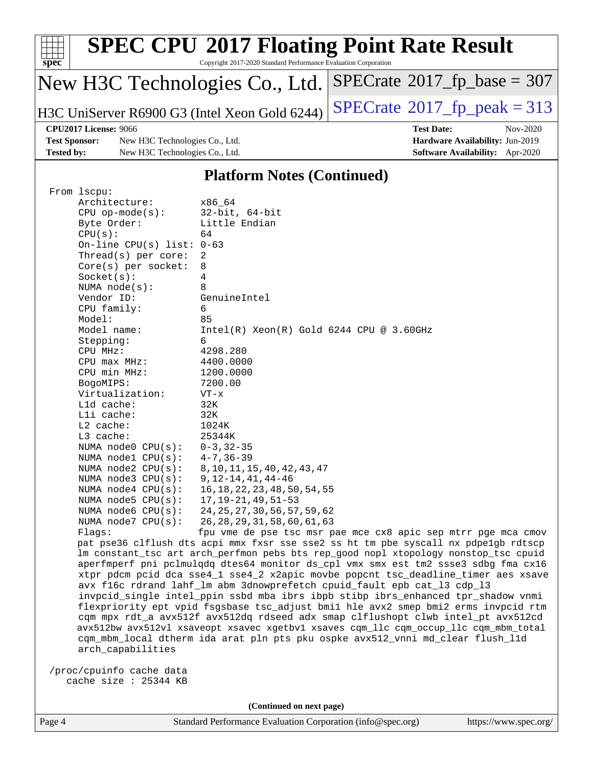| $spec^*$                                      | <b>SPEC CPU®2017 Floating Point Rate Result</b><br>Copyright 2017-2020 Standard Performance Evaluation Corporation |                                |                                             |          |  |  |
|-----------------------------------------------|--------------------------------------------------------------------------------------------------------------------|--------------------------------|---------------------------------------------|----------|--|--|
| New H3C Technologies Co., Ltd.                |                                                                                                                    |                                | $SPECrate^{\circ}2017$ _fp_base = 307       |          |  |  |
| H3C UniServer R6900 G3 (Intel Xeon Gold 6244) |                                                                                                                    |                                | $SPECrate^{\circledcirc}2017$ fp peak = 313 |          |  |  |
| <b>CPU2017 License: 9066</b>                  |                                                                                                                    |                                | <b>Test Date:</b>                           | Nov-2020 |  |  |
|                                               | <b>Test Sponsor:</b>                                                                                               | New H3C Technologies Co., Ltd. | Hardware Availability: Jun-2019             |          |  |  |
| <b>Tested by:</b>                             |                                                                                                                    | New H3C Technologies Co., Ltd. | <b>Software Availability:</b> Apr-2020      |          |  |  |
|                                               |                                                                                                                    | $\mathbf{m}$ . A               | $\blacksquare$                              |          |  |  |

#### **[Platform Notes \(Continued\)](http://www.spec.org/auto/cpu2017/Docs/result-fields.html#PlatformNotes)**

| From 1scpu:                 |                                                                                                                                                                                                           |
|-----------------------------|-----------------------------------------------------------------------------------------------------------------------------------------------------------------------------------------------------------|
| Architecture:               | x86 64                                                                                                                                                                                                    |
| $CPU$ op-mode( $s$ ):       | $32$ -bit, $64$ -bit                                                                                                                                                                                      |
| Byte Order:                 | Little Endian                                                                                                                                                                                             |
| CPU(s):                     | 64                                                                                                                                                                                                        |
| On-line CPU(s) list: $0-63$ |                                                                                                                                                                                                           |
| Thread( $s$ ) per core:     | 2                                                                                                                                                                                                         |
| $Core(s)$ per socket:       | 8                                                                                                                                                                                                         |
| Socket(s):                  | 4                                                                                                                                                                                                         |
| NUMA $node(s)$ :            | 8                                                                                                                                                                                                         |
| Vendor ID:                  | GenuineIntel                                                                                                                                                                                              |
| CPU family:                 | 6                                                                                                                                                                                                         |
| Model:                      | 85                                                                                                                                                                                                        |
| Model name:                 | $Intel(R)$ Xeon $(R)$ Gold 6244 CPU @ 3.60GHz                                                                                                                                                             |
| Stepping:                   | 6                                                                                                                                                                                                         |
| CPU MHz:                    | 4298.280                                                                                                                                                                                                  |
| CPU max MHz:                | 4400.0000                                                                                                                                                                                                 |
| CPU min MHz:                | 1200.0000                                                                                                                                                                                                 |
| BogoMIPS:                   | 7200.00                                                                                                                                                                                                   |
| Virtualization:             | $VT - x$                                                                                                                                                                                                  |
| L1d cache:                  | 32K                                                                                                                                                                                                       |
| Lli cache:                  | 32K                                                                                                                                                                                                       |
| $L2$ cache:                 | 1024K                                                                                                                                                                                                     |
| $L3$ cache:                 | 25344K                                                                                                                                                                                                    |
|                             | $0 - 3, 32 - 35$                                                                                                                                                                                          |
|                             | $4 - 7, 36 - 39$                                                                                                                                                                                          |
|                             | 8, 10, 11, 15, 40, 42, 43, 47                                                                                                                                                                             |
|                             | $9, 12 - 14, 41, 44 - 46$                                                                                                                                                                                 |
|                             | 16, 18, 22, 23, 48, 50, 54, 55                                                                                                                                                                            |
|                             | $17, 19 - 21, 49, 51 - 53$                                                                                                                                                                                |
|                             | 24, 25, 27, 30, 56, 57, 59, 62                                                                                                                                                                            |
| NUMA $node7$ $CPU(s)$ :     | 26, 28, 29, 31, 58, 60, 61, 63                                                                                                                                                                            |
| Flaqs:                      | fpu vme de pse tsc msr pae mce cx8 apic sep mtrr pge mca cmov                                                                                                                                             |
|                             | pat pse36 clflush dts acpi mmx fxsr sse sse2 ss ht tm pbe syscall nx pdpelgb rdtscp                                                                                                                       |
|                             | lm constant_tsc art arch_perfmon pebs bts rep_good nopl xtopology nonstop_tsc cpuid                                                                                                                       |
|                             | aperfmperf pni pclmulqdq dtes64 monitor ds_cpl vmx smx est tm2 ssse3 sdbg fma cx16                                                                                                                        |
|                             | xtpr pdcm pcid dca sse4_1 sse4_2 x2apic movbe popcnt tsc_deadline_timer aes xsave                                                                                                                         |
|                             | avx f16c rdrand lahf_lm abm 3dnowprefetch cpuid_fault epb cat_13 cdp_13                                                                                                                                   |
|                             | invpcid_single intel_ppin ssbd mba ibrs ibpb stibp ibrs_enhanced tpr_shadow vnmi                                                                                                                          |
|                             | flexpriority ept vpid fsgsbase tsc_adjust bmil hle avx2 smep bmi2 erms invpcid rtm                                                                                                                        |
|                             | cqm mpx rdt_a avx512f avx512dq rdseed adx smap clflushopt clwb intel_pt avx512cd                                                                                                                          |
|                             | avx512bw avx512vl xsaveopt xsavec xgetbvl xsaves cqm_llc cqm_occup_llc cqm_mbm_total                                                                                                                      |
|                             | cqm_mbm_local dtherm ida arat pln pts pku ospke avx512_vnni md_clear flush_l1d                                                                                                                            |
| arch_capabilities           |                                                                                                                                                                                                           |
|                             |                                                                                                                                                                                                           |
| /proc/cpuinfo cache data    |                                                                                                                                                                                                           |
|                             |                                                                                                                                                                                                           |
|                             | NUMA node0 CPU(s):<br>NUMA $node1$ $CPU(s):$<br>NUMA $node2$ $CPU(s):$<br>NUMA $node3$ $CPU(s):$<br>NUMA $node4$ $CPU(s):$<br>NUMA $node5$ $CPU(s):$<br>NUMA $node6$ $CPU(s):$<br>cache size $: 25344$ KB |

**(Continued on next page)**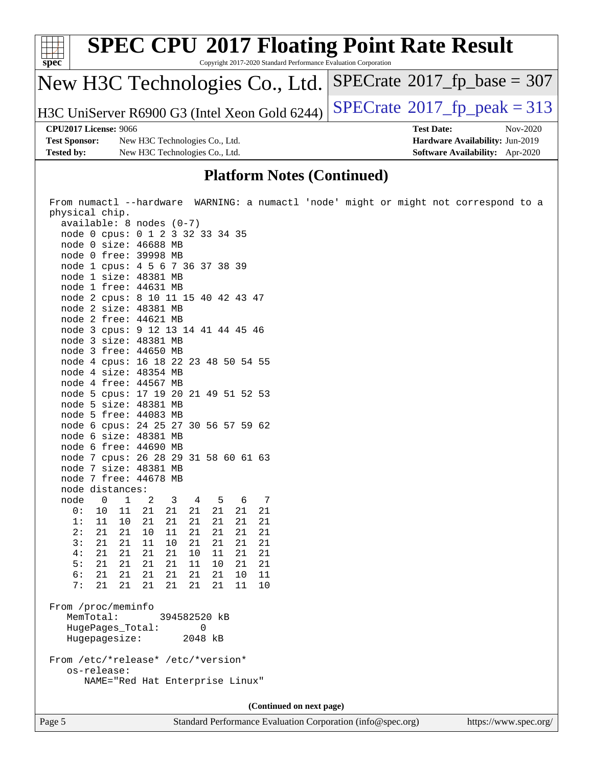| $\frac{1}{\text{spec}^*}$    | <b>SPEC CPU®2017 Floating Point Rate Result</b><br>Copyright 2017-2020 Standard Performance Evaluation Corporation |                                             |  |  |  |
|------------------------------|--------------------------------------------------------------------------------------------------------------------|---------------------------------------------|--|--|--|
|                              | New H3C Technologies Co., Ltd.                                                                                     | $SPECrate^{\circ}2017$ _fp_base = 307       |  |  |  |
|                              | H3C UniServer R6900 G3 (Intel Xeon Gold 6244)                                                                      | $SPECrate^{\circledcirc}2017$ fp peak = 313 |  |  |  |
| <b>CPU2017 License: 9066</b> |                                                                                                                    | <b>Test Date:</b><br>Nov-2020               |  |  |  |
| <b>Test Sponsor:</b>         | New H3C Technologies Co., Ltd.                                                                                     | Hardware Availability: Jun-2019             |  |  |  |
| <b>Tested by:</b>            | New H3C Technologies Co., Ltd.                                                                                     | <b>Software Availability:</b> Apr-2020      |  |  |  |
|                              |                                                                                                                    |                                             |  |  |  |

#### **[Platform Notes \(Continued\)](http://www.spec.org/auto/cpu2017/Docs/result-fields.html#PlatformNotes)**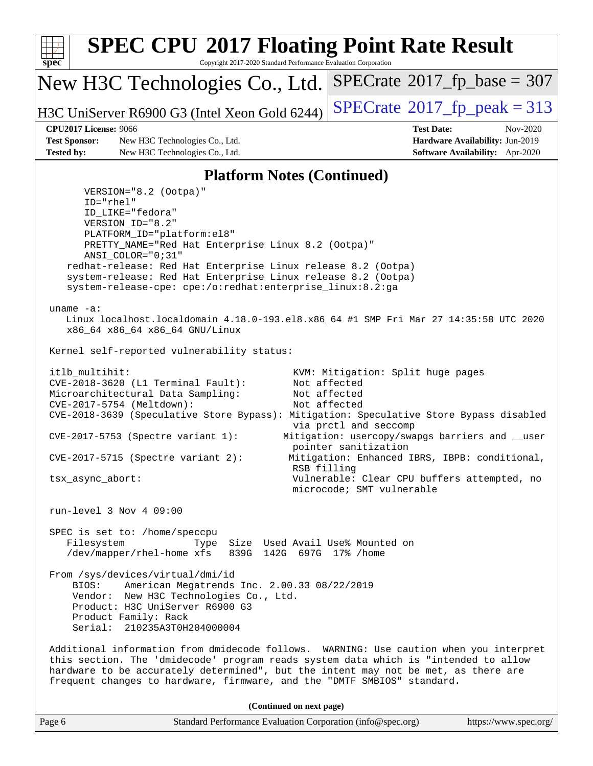

| Page 6 | Standard Performance Evaluation Corporation (info@spec.org) | https://www.spec.org/ |
|--------|-------------------------------------------------------------|-----------------------|
|--------|-------------------------------------------------------------|-----------------------|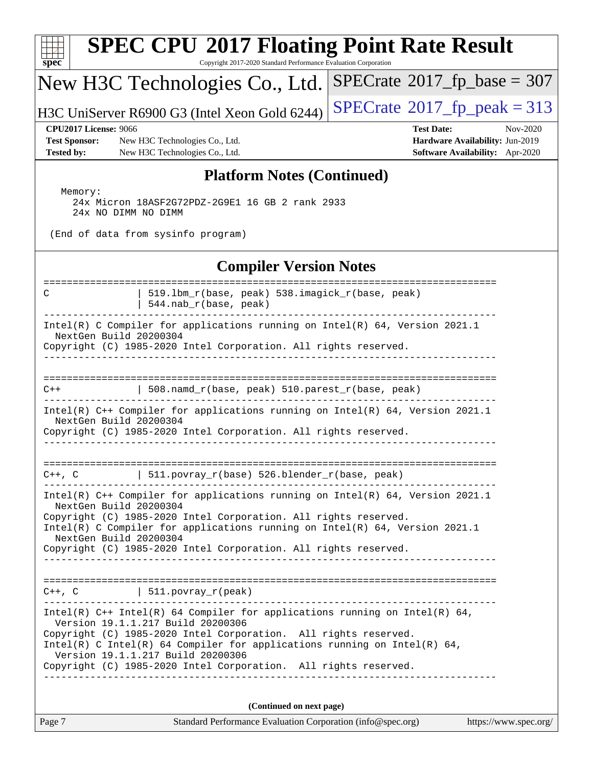| <b>SPEC CPU®2017 Floating Point Rate Result</b><br>$spec^*$<br>Copyright 2017-2020 Standard Performance Evaluation Corporation                                                                                                                                                                                                                                                                       |  |  |  |  |  |  |
|------------------------------------------------------------------------------------------------------------------------------------------------------------------------------------------------------------------------------------------------------------------------------------------------------------------------------------------------------------------------------------------------------|--|--|--|--|--|--|
| $SPECrate^{\circ}2017\_fp\_base = 307$<br>New H3C Technologies Co., Ltd.                                                                                                                                                                                                                                                                                                                             |  |  |  |  |  |  |
| $SPECTate$ <sup>®</sup> 2017_fp_peak = 313<br>H3C UniServer R6900 G3 (Intel Xeon Gold 6244)                                                                                                                                                                                                                                                                                                          |  |  |  |  |  |  |
| <b>CPU2017 License: 9066</b><br><b>Test Date:</b><br>Nov-2020<br><b>Test Sponsor:</b><br>Hardware Availability: Jun-2019<br>New H3C Technologies Co., Ltd.<br><b>Tested by:</b><br>New H3C Technologies Co., Ltd.<br>Software Availability: Apr-2020                                                                                                                                                 |  |  |  |  |  |  |
| <b>Platform Notes (Continued)</b>                                                                                                                                                                                                                                                                                                                                                                    |  |  |  |  |  |  |
| Memory:<br>24x Micron 18ASF2G72PDZ-2G9E1 16 GB 2 rank 2933<br>24x NO DIMM NO DIMM                                                                                                                                                                                                                                                                                                                    |  |  |  |  |  |  |
| (End of data from sysinfo program)                                                                                                                                                                                                                                                                                                                                                                   |  |  |  |  |  |  |
| <b>Compiler Version Notes</b>                                                                                                                                                                                                                                                                                                                                                                        |  |  |  |  |  |  |
| 519.1bm_r(base, peak) 538.imagick_r(base, peak)<br>С<br>544.nab_r(base, peak)                                                                                                                                                                                                                                                                                                                        |  |  |  |  |  |  |
| Intel(R) C Compiler for applications running on Intel(R) 64, Version 2021.1<br>NextGen Build 20200304<br>Copyright (C) 1985-2020 Intel Corporation. All rights reserved.                                                                                                                                                                                                                             |  |  |  |  |  |  |
| $508.namd_r(base, peak) 510.parest_r(base, peak)$<br>$C++$                                                                                                                                                                                                                                                                                                                                           |  |  |  |  |  |  |
| Intel(R) C++ Compiler for applications running on Intel(R) 64, Version 2021.1<br>NextGen Build 20200304<br>Copyright (C) 1985-2020 Intel Corporation. All rights reserved.                                                                                                                                                                                                                           |  |  |  |  |  |  |
| =================                                                                                                                                                                                                                                                                                                                                                                                    |  |  |  |  |  |  |
| $511.povray_r(base) 526.blender_r(base, peak)$<br>$C++$ , $C$                                                                                                                                                                                                                                                                                                                                        |  |  |  |  |  |  |
| Intel(R) $C++$ Compiler for applications running on Intel(R) 64, Version 2021.1<br>NextGen Build 20200304<br>Copyright (C) 1985-2020 Intel Corporation. All rights reserved.<br>Intel(R) C Compiler for applications running on Intel(R) $64$ , Version 2021.1<br>NextGen Build 20200304<br>Copyright (C) 1985-2020 Intel Corporation. All rights reserved.                                          |  |  |  |  |  |  |
|                                                                                                                                                                                                                                                                                                                                                                                                      |  |  |  |  |  |  |
| $C++$ , $C$   511.povray_r(peak)                                                                                                                                                                                                                                                                                                                                                                     |  |  |  |  |  |  |
| Intel(R) $C++$ Intel(R) 64 Compiler for applications running on Intel(R) 64,<br>Version 19.1.1.217 Build 20200306<br>Copyright (C) 1985-2020 Intel Corporation. All rights reserved.<br>Intel(R) C Intel(R) 64 Compiler for applications running on Intel(R) 64,<br>Version 19.1.1.217 Build 20200306<br>Copyright (C) 1985-2020 Intel Corporation. All rights reserved.<br>________________________ |  |  |  |  |  |  |
| (Continued on next page)                                                                                                                                                                                                                                                                                                                                                                             |  |  |  |  |  |  |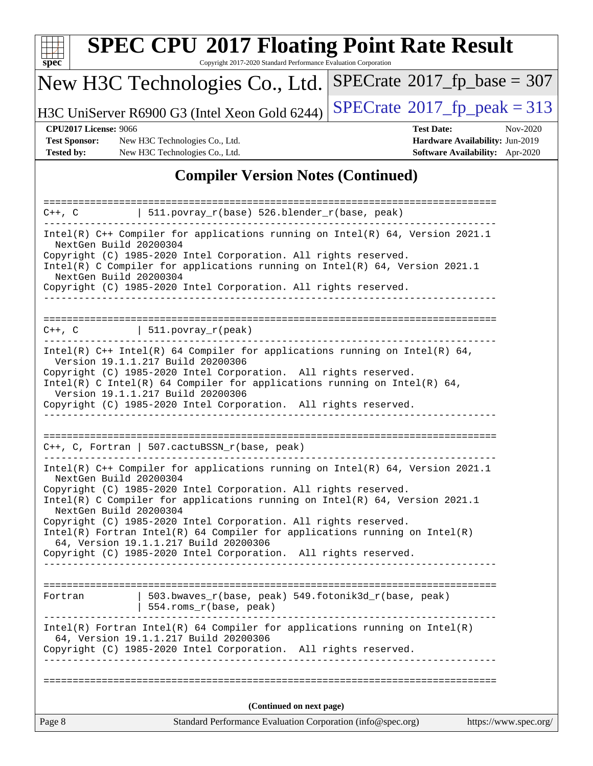| S<br>Dе<br>U |  |  |  |  |  |
|--------------|--|--|--|--|--|

# **[SPEC CPU](http://www.spec.org/auto/cpu2017/Docs/result-fields.html#SPECCPU2017FloatingPointRateResult)[2017 Floating Point Rate Result](http://www.spec.org/auto/cpu2017/Docs/result-fields.html#SPECCPU2017FloatingPointRateResult)**

Copyright 2017-2020 Standard Performance Evaluation Corporation

# New H3C Technologies Co., Ltd.

H3C UniServer R6900 G3 (Intel Xeon Gold 6244) [SPECrate](http://www.spec.org/auto/cpu2017/Docs/result-fields.html#SPECrate2017fppeak)®[2017\\_fp\\_peak = 3](http://www.spec.org/auto/cpu2017/Docs/result-fields.html#SPECrate2017fppeak)13

 $SPECTate@2017_fp\_base = 307$ 

**[Test Sponsor:](http://www.spec.org/auto/cpu2017/Docs/result-fields.html#TestSponsor)** New H3C Technologies Co., Ltd. **[Hardware Availability:](http://www.spec.org/auto/cpu2017/Docs/result-fields.html#HardwareAvailability)** Jun-2019 **[Tested by:](http://www.spec.org/auto/cpu2017/Docs/result-fields.html#Testedby)** New H3C Technologies Co., Ltd. **[Software Availability:](http://www.spec.org/auto/cpu2017/Docs/result-fields.html#SoftwareAvailability)** Apr-2020

**[CPU2017 License:](http://www.spec.org/auto/cpu2017/Docs/result-fields.html#CPU2017License)** 9066 **[Test Date:](http://www.spec.org/auto/cpu2017/Docs/result-fields.html#TestDate)** Nov-2020

#### **[Compiler Version Notes \(Continued\)](http://www.spec.org/auto/cpu2017/Docs/result-fields.html#CompilerVersionNotes)**

| 511.povray_r(base) 526.blender_r(base, peak)<br>$C++$ , $C$                                                                                                                                                                                                                                                                                                                                                                                                                                                                                            |                       |  |  |  |  |  |
|--------------------------------------------------------------------------------------------------------------------------------------------------------------------------------------------------------------------------------------------------------------------------------------------------------------------------------------------------------------------------------------------------------------------------------------------------------------------------------------------------------------------------------------------------------|-----------------------|--|--|--|--|--|
| Intel(R) C++ Compiler for applications running on Intel(R) 64, Version 2021.1<br>NextGen Build 20200304<br>Copyright (C) 1985-2020 Intel Corporation. All rights reserved.<br>Intel(R) C Compiler for applications running on Intel(R) 64, Version 2021.1<br>NextGen Build 20200304                                                                                                                                                                                                                                                                    |                       |  |  |  |  |  |
| Copyright (C) 1985-2020 Intel Corporation. All rights reserved.                                                                                                                                                                                                                                                                                                                                                                                                                                                                                        |                       |  |  |  |  |  |
|                                                                                                                                                                                                                                                                                                                                                                                                                                                                                                                                                        |                       |  |  |  |  |  |
| $\vert$ 511.povray_r(peak)<br>$C++$ , $C$                                                                                                                                                                                                                                                                                                                                                                                                                                                                                                              |                       |  |  |  |  |  |
| Intel(R) $C++$ Intel(R) 64 Compiler for applications running on Intel(R) 64,<br>Version 19.1.1.217 Build 20200306<br>Copyright (C) 1985-2020 Intel Corporation. All rights reserved.<br>Intel(R) C Intel(R) 64 Compiler for applications running on Intel(R) 64,<br>Version 19.1.1.217 Build 20200306<br>Copyright (C) 1985-2020 Intel Corporation. All rights reserved.                                                                                                                                                                               |                       |  |  |  |  |  |
| $C++$ , C, Fortran   507.cactuBSSN_r(base, peak)                                                                                                                                                                                                                                                                                                                                                                                                                                                                                                       |                       |  |  |  |  |  |
| Intel(R) $C++$ Compiler for applications running on Intel(R) 64, Version 2021.1<br>NextGen Build 20200304<br>Copyright (C) 1985-2020 Intel Corporation. All rights reserved.<br>Intel(R) C Compiler for applications running on $Intel(R)$ 64, Version 2021.1<br>NextGen Build 20200304<br>Copyright (C) 1985-2020 Intel Corporation. All rights reserved.<br>$Intel(R)$ Fortran Intel(R) 64 Compiler for applications running on Intel(R)<br>64, Version 19.1.1.217 Build 20200306<br>Copyright (C) 1985-2020 Intel Corporation. All rights reserved. |                       |  |  |  |  |  |
| $503.bwaves_r(base, peak)$ 549.fotonik3d_r(base, peak)<br>Fortran<br>554.roms_r(base, peak)                                                                                                                                                                                                                                                                                                                                                                                                                                                            |                       |  |  |  |  |  |
| $Intel(R)$ Fortran Intel(R) 64 Compiler for applications running on Intel(R)<br>64, Version 19.1.1.217 Build 20200306<br>Copyright (C) 1985-2020 Intel Corporation. All rights reserved.                                                                                                                                                                                                                                                                                                                                                               |                       |  |  |  |  |  |
|                                                                                                                                                                                                                                                                                                                                                                                                                                                                                                                                                        |                       |  |  |  |  |  |
| (Continued on next page)<br>Standard Performance Evaluation Corporation (info@spec.org)<br>Page 8                                                                                                                                                                                                                                                                                                                                                                                                                                                      | https://www.spec.org/ |  |  |  |  |  |
|                                                                                                                                                                                                                                                                                                                                                                                                                                                                                                                                                        |                       |  |  |  |  |  |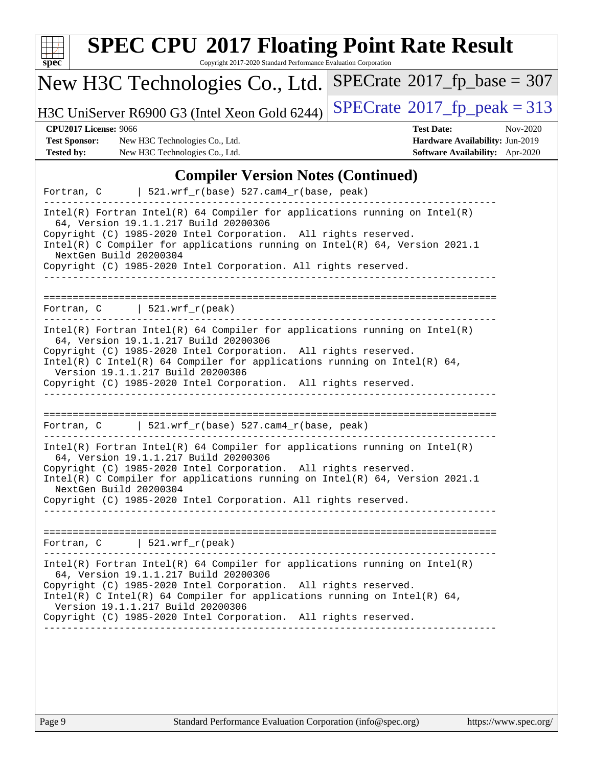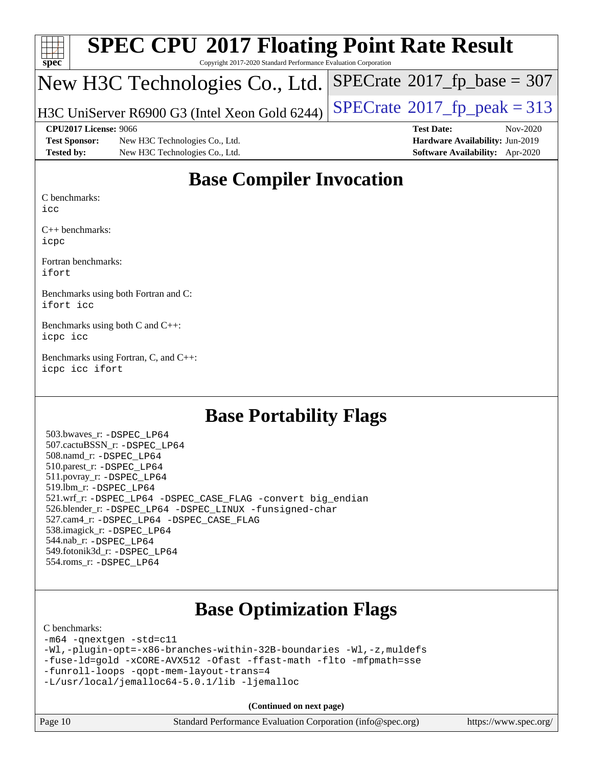

# **[SPEC CPU](http://www.spec.org/auto/cpu2017/Docs/result-fields.html#SPECCPU2017FloatingPointRateResult)[2017 Floating Point Rate Result](http://www.spec.org/auto/cpu2017/Docs/result-fields.html#SPECCPU2017FloatingPointRateResult)**

Copyright 2017-2020 Standard Performance Evaluation Corporation

### New H3C Technologies Co., Ltd.

H3C UniServer R6900 G3 (Intel Xeon Gold 6244)  $\left|$  [SPECrate](http://www.spec.org/auto/cpu2017/Docs/result-fields.html#SPECrate2017fppeak)®[2017\\_fp\\_peak = 3](http://www.spec.org/auto/cpu2017/Docs/result-fields.html#SPECrate2017fppeak)13

 $SPECTate$ <sup>®</sup>[2017\\_fp\\_base =](http://www.spec.org/auto/cpu2017/Docs/result-fields.html#SPECrate2017fpbase) 307

**[Test Sponsor:](http://www.spec.org/auto/cpu2017/Docs/result-fields.html#TestSponsor)** New H3C Technologies Co., Ltd. **[Hardware Availability:](http://www.spec.org/auto/cpu2017/Docs/result-fields.html#HardwareAvailability)** Jun-2019 **[Tested by:](http://www.spec.org/auto/cpu2017/Docs/result-fields.html#Testedby)** New H3C Technologies Co., Ltd. **[Software Availability:](http://www.spec.org/auto/cpu2017/Docs/result-fields.html#SoftwareAvailability)** Apr-2020

**[CPU2017 License:](http://www.spec.org/auto/cpu2017/Docs/result-fields.html#CPU2017License)** 9066 **[Test Date:](http://www.spec.org/auto/cpu2017/Docs/result-fields.html#TestDate)** Nov-2020

## **[Base Compiler Invocation](http://www.spec.org/auto/cpu2017/Docs/result-fields.html#BaseCompilerInvocation)**

[C benchmarks:](http://www.spec.org/auto/cpu2017/Docs/result-fields.html#Cbenchmarks)

[icc](http://www.spec.org/cpu2017/results/res2020q4/cpu2017-20201105-24338.flags.html#user_CCbase_intel_icc_66fc1ee009f7361af1fbd72ca7dcefbb700085f36577c54f309893dd4ec40d12360134090235512931783d35fd58c0460139e722d5067c5574d8eaf2b3e37e92)

[C++ benchmarks:](http://www.spec.org/auto/cpu2017/Docs/result-fields.html#CXXbenchmarks) [icpc](http://www.spec.org/cpu2017/results/res2020q4/cpu2017-20201105-24338.flags.html#user_CXXbase_intel_icpc_c510b6838c7f56d33e37e94d029a35b4a7bccf4766a728ee175e80a419847e808290a9b78be685c44ab727ea267ec2f070ec5dc83b407c0218cded6866a35d07)

[Fortran benchmarks](http://www.spec.org/auto/cpu2017/Docs/result-fields.html#Fortranbenchmarks): [ifort](http://www.spec.org/cpu2017/results/res2020q4/cpu2017-20201105-24338.flags.html#user_FCbase_intel_ifort_8111460550e3ca792625aed983ce982f94888b8b503583aa7ba2b8303487b4d8a21a13e7191a45c5fd58ff318f48f9492884d4413fa793fd88dd292cad7027ca)

[Benchmarks using both Fortran and C:](http://www.spec.org/auto/cpu2017/Docs/result-fields.html#BenchmarksusingbothFortranandC) [ifort](http://www.spec.org/cpu2017/results/res2020q4/cpu2017-20201105-24338.flags.html#user_CC_FCbase_intel_ifort_8111460550e3ca792625aed983ce982f94888b8b503583aa7ba2b8303487b4d8a21a13e7191a45c5fd58ff318f48f9492884d4413fa793fd88dd292cad7027ca) [icc](http://www.spec.org/cpu2017/results/res2020q4/cpu2017-20201105-24338.flags.html#user_CC_FCbase_intel_icc_66fc1ee009f7361af1fbd72ca7dcefbb700085f36577c54f309893dd4ec40d12360134090235512931783d35fd58c0460139e722d5067c5574d8eaf2b3e37e92)

[Benchmarks using both C and C++](http://www.spec.org/auto/cpu2017/Docs/result-fields.html#BenchmarksusingbothCandCXX): [icpc](http://www.spec.org/cpu2017/results/res2020q4/cpu2017-20201105-24338.flags.html#user_CC_CXXbase_intel_icpc_c510b6838c7f56d33e37e94d029a35b4a7bccf4766a728ee175e80a419847e808290a9b78be685c44ab727ea267ec2f070ec5dc83b407c0218cded6866a35d07) [icc](http://www.spec.org/cpu2017/results/res2020q4/cpu2017-20201105-24338.flags.html#user_CC_CXXbase_intel_icc_66fc1ee009f7361af1fbd72ca7dcefbb700085f36577c54f309893dd4ec40d12360134090235512931783d35fd58c0460139e722d5067c5574d8eaf2b3e37e92)

[Benchmarks using Fortran, C, and C++:](http://www.spec.org/auto/cpu2017/Docs/result-fields.html#BenchmarksusingFortranCandCXX) [icpc](http://www.spec.org/cpu2017/results/res2020q4/cpu2017-20201105-24338.flags.html#user_CC_CXX_FCbase_intel_icpc_c510b6838c7f56d33e37e94d029a35b4a7bccf4766a728ee175e80a419847e808290a9b78be685c44ab727ea267ec2f070ec5dc83b407c0218cded6866a35d07) [icc](http://www.spec.org/cpu2017/results/res2020q4/cpu2017-20201105-24338.flags.html#user_CC_CXX_FCbase_intel_icc_66fc1ee009f7361af1fbd72ca7dcefbb700085f36577c54f309893dd4ec40d12360134090235512931783d35fd58c0460139e722d5067c5574d8eaf2b3e37e92) [ifort](http://www.spec.org/cpu2017/results/res2020q4/cpu2017-20201105-24338.flags.html#user_CC_CXX_FCbase_intel_ifort_8111460550e3ca792625aed983ce982f94888b8b503583aa7ba2b8303487b4d8a21a13e7191a45c5fd58ff318f48f9492884d4413fa793fd88dd292cad7027ca)

## **[Base Portability Flags](http://www.spec.org/auto/cpu2017/Docs/result-fields.html#BasePortabilityFlags)**

 503.bwaves\_r: [-DSPEC\\_LP64](http://www.spec.org/cpu2017/results/res2020q4/cpu2017-20201105-24338.flags.html#suite_basePORTABILITY503_bwaves_r_DSPEC_LP64) 507.cactuBSSN\_r: [-DSPEC\\_LP64](http://www.spec.org/cpu2017/results/res2020q4/cpu2017-20201105-24338.flags.html#suite_basePORTABILITY507_cactuBSSN_r_DSPEC_LP64) 508.namd\_r: [-DSPEC\\_LP64](http://www.spec.org/cpu2017/results/res2020q4/cpu2017-20201105-24338.flags.html#suite_basePORTABILITY508_namd_r_DSPEC_LP64) 510.parest\_r: [-DSPEC\\_LP64](http://www.spec.org/cpu2017/results/res2020q4/cpu2017-20201105-24338.flags.html#suite_basePORTABILITY510_parest_r_DSPEC_LP64) 511.povray\_r: [-DSPEC\\_LP64](http://www.spec.org/cpu2017/results/res2020q4/cpu2017-20201105-24338.flags.html#suite_basePORTABILITY511_povray_r_DSPEC_LP64) 519.lbm\_r: [-DSPEC\\_LP64](http://www.spec.org/cpu2017/results/res2020q4/cpu2017-20201105-24338.flags.html#suite_basePORTABILITY519_lbm_r_DSPEC_LP64) 521.wrf\_r: [-DSPEC\\_LP64](http://www.spec.org/cpu2017/results/res2020q4/cpu2017-20201105-24338.flags.html#suite_basePORTABILITY521_wrf_r_DSPEC_LP64) [-DSPEC\\_CASE\\_FLAG](http://www.spec.org/cpu2017/results/res2020q4/cpu2017-20201105-24338.flags.html#b521.wrf_r_baseCPORTABILITY_DSPEC_CASE_FLAG) [-convert big\\_endian](http://www.spec.org/cpu2017/results/res2020q4/cpu2017-20201105-24338.flags.html#user_baseFPORTABILITY521_wrf_r_convert_big_endian_c3194028bc08c63ac5d04de18c48ce6d347e4e562e8892b8bdbdc0214820426deb8554edfa529a3fb25a586e65a3d812c835984020483e7e73212c4d31a38223) 526.blender\_r: [-DSPEC\\_LP64](http://www.spec.org/cpu2017/results/res2020q4/cpu2017-20201105-24338.flags.html#suite_basePORTABILITY526_blender_r_DSPEC_LP64) [-DSPEC\\_LINUX](http://www.spec.org/cpu2017/results/res2020q4/cpu2017-20201105-24338.flags.html#b526.blender_r_baseCPORTABILITY_DSPEC_LINUX) [-funsigned-char](http://www.spec.org/cpu2017/results/res2020q4/cpu2017-20201105-24338.flags.html#user_baseCPORTABILITY526_blender_r_force_uchar_40c60f00ab013830e2dd6774aeded3ff59883ba5a1fc5fc14077f794d777847726e2a5858cbc7672e36e1b067e7e5c1d9a74f7176df07886a243d7cc18edfe67) 527.cam4\_r: [-DSPEC\\_LP64](http://www.spec.org/cpu2017/results/res2020q4/cpu2017-20201105-24338.flags.html#suite_basePORTABILITY527_cam4_r_DSPEC_LP64) [-DSPEC\\_CASE\\_FLAG](http://www.spec.org/cpu2017/results/res2020q4/cpu2017-20201105-24338.flags.html#b527.cam4_r_baseCPORTABILITY_DSPEC_CASE_FLAG) 538.imagick\_r: [-DSPEC\\_LP64](http://www.spec.org/cpu2017/results/res2020q4/cpu2017-20201105-24338.flags.html#suite_basePORTABILITY538_imagick_r_DSPEC_LP64) 544.nab\_r: [-DSPEC\\_LP64](http://www.spec.org/cpu2017/results/res2020q4/cpu2017-20201105-24338.flags.html#suite_basePORTABILITY544_nab_r_DSPEC_LP64) 549.fotonik3d\_r: [-DSPEC\\_LP64](http://www.spec.org/cpu2017/results/res2020q4/cpu2017-20201105-24338.flags.html#suite_basePORTABILITY549_fotonik3d_r_DSPEC_LP64) 554.roms\_r: [-DSPEC\\_LP64](http://www.spec.org/cpu2017/results/res2020q4/cpu2017-20201105-24338.flags.html#suite_basePORTABILITY554_roms_r_DSPEC_LP64)

# **[Base Optimization Flags](http://www.spec.org/auto/cpu2017/Docs/result-fields.html#BaseOptimizationFlags)**

#### [C benchmarks](http://www.spec.org/auto/cpu2017/Docs/result-fields.html#Cbenchmarks):

[-m64](http://www.spec.org/cpu2017/results/res2020q4/cpu2017-20201105-24338.flags.html#user_CCbase_m64-icc) [-qnextgen](http://www.spec.org/cpu2017/results/res2020q4/cpu2017-20201105-24338.flags.html#user_CCbase_f-qnextgen) [-std=c11](http://www.spec.org/cpu2017/results/res2020q4/cpu2017-20201105-24338.flags.html#user_CCbase_std-icc-std_0e1c27790398a4642dfca32ffe6c27b5796f9c2d2676156f2e42c9c44eaad0c049b1cdb667a270c34d979996257aeb8fc440bfb01818dbc9357bd9d174cb8524) [-Wl,-plugin-opt=-x86-branches-within-32B-boundaries](http://www.spec.org/cpu2017/results/res2020q4/cpu2017-20201105-24338.flags.html#user_CCbase_f-x86-branches-within-32B-boundaries_0098b4e4317ae60947b7b728078a624952a08ac37a3c797dfb4ffeb399e0c61a9dd0f2f44ce917e9361fb9076ccb15e7824594512dd315205382d84209e912f3) [-Wl,-z,muldefs](http://www.spec.org/cpu2017/results/res2020q4/cpu2017-20201105-24338.flags.html#user_CCbase_link_force_multiple1_b4cbdb97b34bdee9ceefcfe54f4c8ea74255f0b02a4b23e853cdb0e18eb4525ac79b5a88067c842dd0ee6996c24547a27a4b99331201badda8798ef8a743f577) [-fuse-ld=gold](http://www.spec.org/cpu2017/results/res2020q4/cpu2017-20201105-24338.flags.html#user_CCbase_f-fuse-ld_920b3586e2b8c6e0748b9c84fa9b744736ba725a32cab14ad8f3d4ad28eecb2f59d1144823d2e17006539a88734fe1fc08fc3035f7676166309105a78aaabc32) [-xCORE-AVX512](http://www.spec.org/cpu2017/results/res2020q4/cpu2017-20201105-24338.flags.html#user_CCbase_f-xCORE-AVX512) [-Ofast](http://www.spec.org/cpu2017/results/res2020q4/cpu2017-20201105-24338.flags.html#user_CCbase_f-Ofast) [-ffast-math](http://www.spec.org/cpu2017/results/res2020q4/cpu2017-20201105-24338.flags.html#user_CCbase_f-ffast-math) [-flto](http://www.spec.org/cpu2017/results/res2020q4/cpu2017-20201105-24338.flags.html#user_CCbase_f-flto) [-mfpmath=sse](http://www.spec.org/cpu2017/results/res2020q4/cpu2017-20201105-24338.flags.html#user_CCbase_f-mfpmath_70eb8fac26bde974f8ab713bc9086c5621c0b8d2f6c86f38af0bd7062540daf19db5f3a066d8c6684be05d84c9b6322eb3b5be6619d967835195b93d6c02afa1) [-funroll-loops](http://www.spec.org/cpu2017/results/res2020q4/cpu2017-20201105-24338.flags.html#user_CCbase_f-funroll-loops) [-qopt-mem-layout-trans=4](http://www.spec.org/cpu2017/results/res2020q4/cpu2017-20201105-24338.flags.html#user_CCbase_f-qopt-mem-layout-trans_fa39e755916c150a61361b7846f310bcdf6f04e385ef281cadf3647acec3f0ae266d1a1d22d972a7087a248fd4e6ca390a3634700869573d231a252c784941a8) [-L/usr/local/jemalloc64-5.0.1/lib](http://www.spec.org/cpu2017/results/res2020q4/cpu2017-20201105-24338.flags.html#user_CCbase_jemalloc_link_path64_1_cc289568b1a6c0fd3b62c91b824c27fcb5af5e8098e6ad028160d21144ef1b8aef3170d2acf0bee98a8da324cfe4f67d0a3d0c4cc4673d993d694dc2a0df248b) [-ljemalloc](http://www.spec.org/cpu2017/results/res2020q4/cpu2017-20201105-24338.flags.html#user_CCbase_jemalloc_link_lib_d1249b907c500fa1c0672f44f562e3d0f79738ae9e3c4a9c376d49f265a04b9c99b167ecedbf6711b3085be911c67ff61f150a17b3472be731631ba4d0471706)

**(Continued on next page)**

| $\vert$ Page 10 | Standard Performance Evaluation Corporation (info@spec.org) | https://www.spec.org/ |
|-----------------|-------------------------------------------------------------|-----------------------|
|-----------------|-------------------------------------------------------------|-----------------------|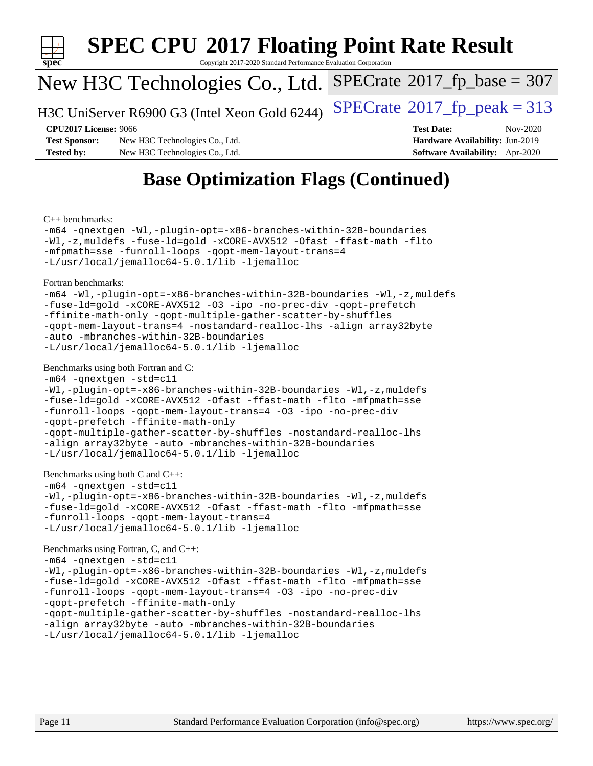

# **[SPEC CPU](http://www.spec.org/auto/cpu2017/Docs/result-fields.html#SPECCPU2017FloatingPointRateResult)[2017 Floating Point Rate Result](http://www.spec.org/auto/cpu2017/Docs/result-fields.html#SPECCPU2017FloatingPointRateResult)**

Copyright 2017-2020 Standard Performance Evaluation Corporation

## New H3C Technologies Co., Ltd.

H3C UniServer R6900 G3 (Intel Xeon Gold 6244) [SPECrate](http://www.spec.org/auto/cpu2017/Docs/result-fields.html#SPECrate2017fppeak)®  $2017$  fp peak = 313

 $SPECTate$ <sup>®</sup>[2017\\_fp\\_base =](http://www.spec.org/auto/cpu2017/Docs/result-fields.html#SPECrate2017fpbase) 307

**[Test Sponsor:](http://www.spec.org/auto/cpu2017/Docs/result-fields.html#TestSponsor)** New H3C Technologies Co., Ltd. **[Hardware Availability:](http://www.spec.org/auto/cpu2017/Docs/result-fields.html#HardwareAvailability)** Jun-2019 **[Tested by:](http://www.spec.org/auto/cpu2017/Docs/result-fields.html#Testedby)** New H3C Technologies Co., Ltd. **[Software Availability:](http://www.spec.org/auto/cpu2017/Docs/result-fields.html#SoftwareAvailability)** Apr-2020

**[CPU2017 License:](http://www.spec.org/auto/cpu2017/Docs/result-fields.html#CPU2017License)** 9066 **[Test Date:](http://www.spec.org/auto/cpu2017/Docs/result-fields.html#TestDate)** Nov-2020

# **[Base Optimization Flags \(Continued\)](http://www.spec.org/auto/cpu2017/Docs/result-fields.html#BaseOptimizationFlags)**

[C++ benchmarks:](http://www.spec.org/auto/cpu2017/Docs/result-fields.html#CXXbenchmarks)

[-m64](http://www.spec.org/cpu2017/results/res2020q4/cpu2017-20201105-24338.flags.html#user_CXXbase_m64-icc) [-qnextgen](http://www.spec.org/cpu2017/results/res2020q4/cpu2017-20201105-24338.flags.html#user_CXXbase_f-qnextgen) [-Wl,-plugin-opt=-x86-branches-within-32B-boundaries](http://www.spec.org/cpu2017/results/res2020q4/cpu2017-20201105-24338.flags.html#user_CXXbase_f-x86-branches-within-32B-boundaries_0098b4e4317ae60947b7b728078a624952a08ac37a3c797dfb4ffeb399e0c61a9dd0f2f44ce917e9361fb9076ccb15e7824594512dd315205382d84209e912f3) [-Wl,-z,muldefs](http://www.spec.org/cpu2017/results/res2020q4/cpu2017-20201105-24338.flags.html#user_CXXbase_link_force_multiple1_b4cbdb97b34bdee9ceefcfe54f4c8ea74255f0b02a4b23e853cdb0e18eb4525ac79b5a88067c842dd0ee6996c24547a27a4b99331201badda8798ef8a743f577) [-fuse-ld=gold](http://www.spec.org/cpu2017/results/res2020q4/cpu2017-20201105-24338.flags.html#user_CXXbase_f-fuse-ld_920b3586e2b8c6e0748b9c84fa9b744736ba725a32cab14ad8f3d4ad28eecb2f59d1144823d2e17006539a88734fe1fc08fc3035f7676166309105a78aaabc32) [-xCORE-AVX512](http://www.spec.org/cpu2017/results/res2020q4/cpu2017-20201105-24338.flags.html#user_CXXbase_f-xCORE-AVX512) [-Ofast](http://www.spec.org/cpu2017/results/res2020q4/cpu2017-20201105-24338.flags.html#user_CXXbase_f-Ofast) [-ffast-math](http://www.spec.org/cpu2017/results/res2020q4/cpu2017-20201105-24338.flags.html#user_CXXbase_f-ffast-math) [-flto](http://www.spec.org/cpu2017/results/res2020q4/cpu2017-20201105-24338.flags.html#user_CXXbase_f-flto) [-mfpmath=sse](http://www.spec.org/cpu2017/results/res2020q4/cpu2017-20201105-24338.flags.html#user_CXXbase_f-mfpmath_70eb8fac26bde974f8ab713bc9086c5621c0b8d2f6c86f38af0bd7062540daf19db5f3a066d8c6684be05d84c9b6322eb3b5be6619d967835195b93d6c02afa1) [-funroll-loops](http://www.spec.org/cpu2017/results/res2020q4/cpu2017-20201105-24338.flags.html#user_CXXbase_f-funroll-loops) [-qopt-mem-layout-trans=4](http://www.spec.org/cpu2017/results/res2020q4/cpu2017-20201105-24338.flags.html#user_CXXbase_f-qopt-mem-layout-trans_fa39e755916c150a61361b7846f310bcdf6f04e385ef281cadf3647acec3f0ae266d1a1d22d972a7087a248fd4e6ca390a3634700869573d231a252c784941a8) [-L/usr/local/jemalloc64-5.0.1/lib](http://www.spec.org/cpu2017/results/res2020q4/cpu2017-20201105-24338.flags.html#user_CXXbase_jemalloc_link_path64_1_cc289568b1a6c0fd3b62c91b824c27fcb5af5e8098e6ad028160d21144ef1b8aef3170d2acf0bee98a8da324cfe4f67d0a3d0c4cc4673d993d694dc2a0df248b) [-ljemalloc](http://www.spec.org/cpu2017/results/res2020q4/cpu2017-20201105-24338.flags.html#user_CXXbase_jemalloc_link_lib_d1249b907c500fa1c0672f44f562e3d0f79738ae9e3c4a9c376d49f265a04b9c99b167ecedbf6711b3085be911c67ff61f150a17b3472be731631ba4d0471706)

[Fortran benchmarks](http://www.spec.org/auto/cpu2017/Docs/result-fields.html#Fortranbenchmarks):

```
-m64 -Wl,-plugin-opt=-x86-branches-within-32B-boundaries -Wl,-z,muldefs
-fuse-ld=gold -xCORE-AVX512 -O3 -ipo -no-prec-div -qopt-prefetch
-ffinite-math-only -qopt-multiple-gather-scatter-by-shuffles
-qopt-mem-layout-trans=4 -nostandard-realloc-lhs -align array32byte
-auto -mbranches-within-32B-boundaries
-L/usr/local/jemalloc64-5.0.1/lib -ljemalloc
```
#### [Benchmarks using both Fortran and C](http://www.spec.org/auto/cpu2017/Docs/result-fields.html#BenchmarksusingbothFortranandC):

```
-m64 -qnextgen -std=c11
-Wl,-plugin-opt=-x86-branches-within-32B-boundaries -Wl,-z,muldefs
-fuse-ld=gold -xCORE-AVX512 -Ofast -ffast-math -flto -mfpmath=sse
-funroll-loops -qopt-mem-layout-trans=4 -O3 -ipo -no-prec-div
-qopt-prefetch -ffinite-math-only
-qopt-multiple-gather-scatter-by-shuffles -nostandard-realloc-lhs
-align array32byte -auto -mbranches-within-32B-boundaries
-L/usr/local/jemalloc64-5.0.1/lib -ljemalloc
```

```
Benchmarks using both C and C++:
```

```
-m64 -qnextgen -std=c11
```

```
-Wl,-plugin-opt=-x86-branches-within-32B-boundaries -Wl,-z,muldefs
-fuse-ld=gold -xCORE-AVX512 -Ofast -ffast-math -flto -mfpmath=sse
-funroll-loops -qopt-mem-layout-trans=4
-L/usr/local/jemalloc64-5.0.1/lib -ljemalloc
```
#### [Benchmarks using Fortran, C, and C++:](http://www.spec.org/auto/cpu2017/Docs/result-fields.html#BenchmarksusingFortranCandCXX)

```
-m64 -qnextgen -std=c11
-Wl,-plugin-opt=-x86-branches-within-32B-boundaries -Wl,-z,muldefs
-fuse-ld=gold -xCORE-AVX512 -Ofast -ffast-math -flto -mfpmath=sse
-funroll-loops -qopt-mem-layout-trans=4 -O3 -ipo -no-prec-div
-qopt-prefetch -ffinite-math-only
-qopt-multiple-gather-scatter-by-shuffles -nostandard-realloc-lhs
-align array32byte -auto -mbranches-within-32B-boundaries
-L/usr/local/jemalloc64-5.0.1/lib -ljemalloc
```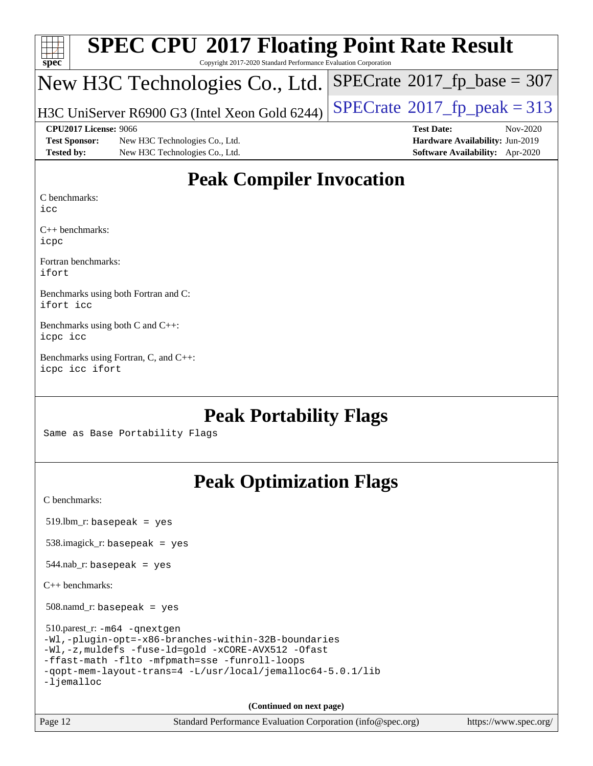| $Spec^*$             | <b>SPEC CPU®2017 Floating Point Rate Result</b><br>Copyright 2017-2020 Standard Performance Evaluation Corporation |                                            |
|----------------------|--------------------------------------------------------------------------------------------------------------------|--------------------------------------------|
|                      | New H3C Technologies Co., Ltd.                                                                                     | $SPECrate^{\circ}2017_fp\_base = 307$      |
|                      | H3C UniServer R6900 G3 (Intel Xeon Gold 6244)                                                                      | $SPECTate$ <sup>®</sup> 2017_fp_peak = 313 |
|                      | CPU2017 License: 9066                                                                                              | <b>Test Date:</b><br>Nov-2020              |
| <b>Test Sponsor:</b> | New H3C Technologies Co., Ltd.                                                                                     | Hardware Availability: Jun-2019            |
| <b>Tested by:</b>    | New H3C Technologies Co., Ltd.                                                                                     | Software Availability: Apr-2020            |

## **[Peak Compiler Invocation](http://www.spec.org/auto/cpu2017/Docs/result-fields.html#PeakCompilerInvocation)**

[C benchmarks:](http://www.spec.org/auto/cpu2017/Docs/result-fields.html#Cbenchmarks)

[icc](http://www.spec.org/cpu2017/results/res2020q4/cpu2017-20201105-24338.flags.html#user_CCpeak_intel_icc_66fc1ee009f7361af1fbd72ca7dcefbb700085f36577c54f309893dd4ec40d12360134090235512931783d35fd58c0460139e722d5067c5574d8eaf2b3e37e92)

[C++ benchmarks](http://www.spec.org/auto/cpu2017/Docs/result-fields.html#CXXbenchmarks): [icpc](http://www.spec.org/cpu2017/results/res2020q4/cpu2017-20201105-24338.flags.html#user_CXXpeak_intel_icpc_c510b6838c7f56d33e37e94d029a35b4a7bccf4766a728ee175e80a419847e808290a9b78be685c44ab727ea267ec2f070ec5dc83b407c0218cded6866a35d07)

[Fortran benchmarks:](http://www.spec.org/auto/cpu2017/Docs/result-fields.html#Fortranbenchmarks) [ifort](http://www.spec.org/cpu2017/results/res2020q4/cpu2017-20201105-24338.flags.html#user_FCpeak_intel_ifort_8111460550e3ca792625aed983ce982f94888b8b503583aa7ba2b8303487b4d8a21a13e7191a45c5fd58ff318f48f9492884d4413fa793fd88dd292cad7027ca)

[Benchmarks using both Fortran and C:](http://www.spec.org/auto/cpu2017/Docs/result-fields.html#BenchmarksusingbothFortranandC) [ifort](http://www.spec.org/cpu2017/results/res2020q4/cpu2017-20201105-24338.flags.html#user_CC_FCpeak_intel_ifort_8111460550e3ca792625aed983ce982f94888b8b503583aa7ba2b8303487b4d8a21a13e7191a45c5fd58ff318f48f9492884d4413fa793fd88dd292cad7027ca) [icc](http://www.spec.org/cpu2017/results/res2020q4/cpu2017-20201105-24338.flags.html#user_CC_FCpeak_intel_icc_66fc1ee009f7361af1fbd72ca7dcefbb700085f36577c54f309893dd4ec40d12360134090235512931783d35fd58c0460139e722d5067c5574d8eaf2b3e37e92)

[Benchmarks using both C and C++](http://www.spec.org/auto/cpu2017/Docs/result-fields.html#BenchmarksusingbothCandCXX): [icpc](http://www.spec.org/cpu2017/results/res2020q4/cpu2017-20201105-24338.flags.html#user_CC_CXXpeak_intel_icpc_c510b6838c7f56d33e37e94d029a35b4a7bccf4766a728ee175e80a419847e808290a9b78be685c44ab727ea267ec2f070ec5dc83b407c0218cded6866a35d07) [icc](http://www.spec.org/cpu2017/results/res2020q4/cpu2017-20201105-24338.flags.html#user_CC_CXXpeak_intel_icc_66fc1ee009f7361af1fbd72ca7dcefbb700085f36577c54f309893dd4ec40d12360134090235512931783d35fd58c0460139e722d5067c5574d8eaf2b3e37e92)

[Benchmarks using Fortran, C, and C++:](http://www.spec.org/auto/cpu2017/Docs/result-fields.html#BenchmarksusingFortranCandCXX) [icpc](http://www.spec.org/cpu2017/results/res2020q4/cpu2017-20201105-24338.flags.html#user_CC_CXX_FCpeak_intel_icpc_c510b6838c7f56d33e37e94d029a35b4a7bccf4766a728ee175e80a419847e808290a9b78be685c44ab727ea267ec2f070ec5dc83b407c0218cded6866a35d07) [icc](http://www.spec.org/cpu2017/results/res2020q4/cpu2017-20201105-24338.flags.html#user_CC_CXX_FCpeak_intel_icc_66fc1ee009f7361af1fbd72ca7dcefbb700085f36577c54f309893dd4ec40d12360134090235512931783d35fd58c0460139e722d5067c5574d8eaf2b3e37e92) [ifort](http://www.spec.org/cpu2017/results/res2020q4/cpu2017-20201105-24338.flags.html#user_CC_CXX_FCpeak_intel_ifort_8111460550e3ca792625aed983ce982f94888b8b503583aa7ba2b8303487b4d8a21a13e7191a45c5fd58ff318f48f9492884d4413fa793fd88dd292cad7027ca)

## **[Peak Portability Flags](http://www.spec.org/auto/cpu2017/Docs/result-fields.html#PeakPortabilityFlags)**

Same as Base Portability Flags

# **[Peak Optimization Flags](http://www.spec.org/auto/cpu2017/Docs/result-fields.html#PeakOptimizationFlags)**

[C benchmarks](http://www.spec.org/auto/cpu2017/Docs/result-fields.html#Cbenchmarks):

519.lbm\_r: basepeak = yes

538.imagick\_r: basepeak = yes

 $544.nab$ <sub>r</sub>: basepeak = yes

[C++ benchmarks:](http://www.spec.org/auto/cpu2017/Docs/result-fields.html#CXXbenchmarks)

508.namd\_r: basepeak = yes

 510.parest\_r: [-m64](http://www.spec.org/cpu2017/results/res2020q4/cpu2017-20201105-24338.flags.html#user_peakCXXLD510_parest_r_m64-icc) [-qnextgen](http://www.spec.org/cpu2017/results/res2020q4/cpu2017-20201105-24338.flags.html#user_peakCXXLD510_parest_r_f-qnextgen) [-Wl,-plugin-opt=-x86-branches-within-32B-boundaries](http://www.spec.org/cpu2017/results/res2020q4/cpu2017-20201105-24338.flags.html#user_peakLDFLAGS510_parest_r_f-x86-branches-within-32B-boundaries_0098b4e4317ae60947b7b728078a624952a08ac37a3c797dfb4ffeb399e0c61a9dd0f2f44ce917e9361fb9076ccb15e7824594512dd315205382d84209e912f3) [-Wl,-z,muldefs](http://www.spec.org/cpu2017/results/res2020q4/cpu2017-20201105-24338.flags.html#user_peakEXTRA_LDFLAGS510_parest_r_link_force_multiple1_b4cbdb97b34bdee9ceefcfe54f4c8ea74255f0b02a4b23e853cdb0e18eb4525ac79b5a88067c842dd0ee6996c24547a27a4b99331201badda8798ef8a743f577) [-fuse-ld=gold](http://www.spec.org/cpu2017/results/res2020q4/cpu2017-20201105-24338.flags.html#user_peakEXTRA_LDFLAGS510_parest_r_f-fuse-ld_920b3586e2b8c6e0748b9c84fa9b744736ba725a32cab14ad8f3d4ad28eecb2f59d1144823d2e17006539a88734fe1fc08fc3035f7676166309105a78aaabc32) [-xCORE-AVX512](http://www.spec.org/cpu2017/results/res2020q4/cpu2017-20201105-24338.flags.html#user_peakCXXOPTIMIZE510_parest_r_f-xCORE-AVX512) [-Ofast](http://www.spec.org/cpu2017/results/res2020q4/cpu2017-20201105-24338.flags.html#user_peakCXXOPTIMIZE510_parest_r_f-Ofast) [-ffast-math](http://www.spec.org/cpu2017/results/res2020q4/cpu2017-20201105-24338.flags.html#user_peakCXXOPTIMIZE510_parest_r_f-ffast-math) [-flto](http://www.spec.org/cpu2017/results/res2020q4/cpu2017-20201105-24338.flags.html#user_peakCXXOPTIMIZE510_parest_r_f-flto) [-mfpmath=sse](http://www.spec.org/cpu2017/results/res2020q4/cpu2017-20201105-24338.flags.html#user_peakCXXOPTIMIZE510_parest_r_f-mfpmath_70eb8fac26bde974f8ab713bc9086c5621c0b8d2f6c86f38af0bd7062540daf19db5f3a066d8c6684be05d84c9b6322eb3b5be6619d967835195b93d6c02afa1) [-funroll-loops](http://www.spec.org/cpu2017/results/res2020q4/cpu2017-20201105-24338.flags.html#user_peakCXXOPTIMIZE510_parest_r_f-funroll-loops) [-qopt-mem-layout-trans=4](http://www.spec.org/cpu2017/results/res2020q4/cpu2017-20201105-24338.flags.html#user_peakCXXOPTIMIZE510_parest_r_f-qopt-mem-layout-trans_fa39e755916c150a61361b7846f310bcdf6f04e385ef281cadf3647acec3f0ae266d1a1d22d972a7087a248fd4e6ca390a3634700869573d231a252c784941a8) [-L/usr/local/jemalloc64-5.0.1/lib](http://www.spec.org/cpu2017/results/res2020q4/cpu2017-20201105-24338.flags.html#user_peakEXTRA_LIBS510_parest_r_jemalloc_link_path64_1_cc289568b1a6c0fd3b62c91b824c27fcb5af5e8098e6ad028160d21144ef1b8aef3170d2acf0bee98a8da324cfe4f67d0a3d0c4cc4673d993d694dc2a0df248b) [-ljemalloc](http://www.spec.org/cpu2017/results/res2020q4/cpu2017-20201105-24338.flags.html#user_peakEXTRA_LIBS510_parest_r_jemalloc_link_lib_d1249b907c500fa1c0672f44f562e3d0f79738ae9e3c4a9c376d49f265a04b9c99b167ecedbf6711b3085be911c67ff61f150a17b3472be731631ba4d0471706)

**(Continued on next page)**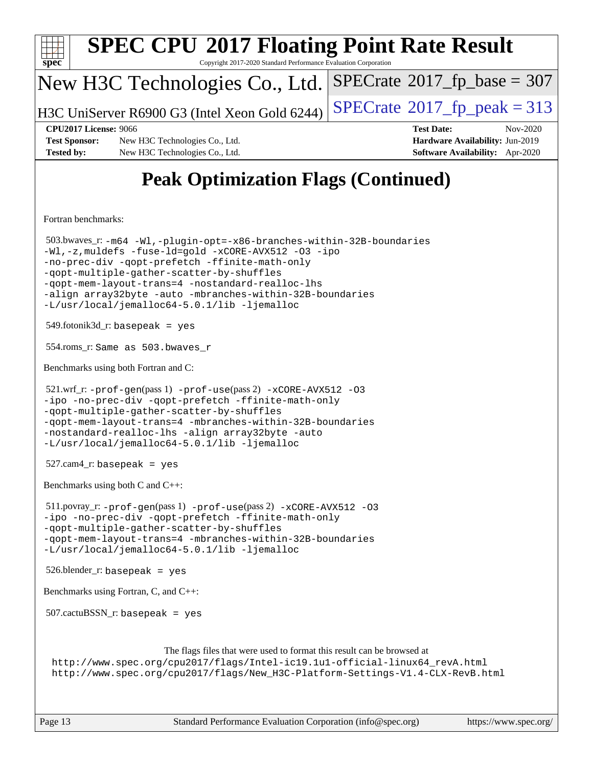| <b>SPEC CPU®2017 Floating Point Rate Result</b><br>Copyright 2017-2020 Standard Performance Evaluation Corporation<br>spec <sup>®</sup>                                                                                                                                                                                                                                                        |                                                                    |  |  |  |  |
|------------------------------------------------------------------------------------------------------------------------------------------------------------------------------------------------------------------------------------------------------------------------------------------------------------------------------------------------------------------------------------------------|--------------------------------------------------------------------|--|--|--|--|
| New H3C Technologies Co., Ltd.                                                                                                                                                                                                                                                                                                                                                                 | $SPECrate^{\circ}2017$ fp base = 307                               |  |  |  |  |
| H3C UniServer R6900 G3 (Intel Xeon Gold 6244)                                                                                                                                                                                                                                                                                                                                                  | $SPECrate@2017_fp\_peak = 313$                                     |  |  |  |  |
| <b>CPU2017 License: 9066</b>                                                                                                                                                                                                                                                                                                                                                                   | <b>Test Date:</b><br>Nov-2020                                      |  |  |  |  |
| <b>Test Sponsor:</b><br>New H3C Technologies Co., Ltd.<br><b>Tested by:</b><br>New H3C Technologies Co., Ltd.                                                                                                                                                                                                                                                                                  | Hardware Availability: Jun-2019<br>Software Availability: Apr-2020 |  |  |  |  |
| <b>Peak Optimization Flags (Continued)</b>                                                                                                                                                                                                                                                                                                                                                     |                                                                    |  |  |  |  |
| Fortran benchmarks:                                                                                                                                                                                                                                                                                                                                                                            |                                                                    |  |  |  |  |
| 503.bwaves_r: -m64 -Wl,-plugin-opt=-x86-branches-within-32B-boundaries<br>-Wl,-z, muldefs -fuse-ld=gold -xCORE-AVX512 -03 -ipo<br>-no-prec-div -qopt-prefetch -ffinite-math-only<br>-qopt-multiple-gather-scatter-by-shuffles<br>-qopt-mem-layout-trans=4 -nostandard-realloc-lhs<br>-align array32byte -auto -mbranches-within-32B-boundaries<br>-L/usr/local/jemalloc64-5.0.1/lib -ljemalloc |                                                                    |  |  |  |  |
| $549$ .fotonik $3d$ _r: basepeak = yes                                                                                                                                                                                                                                                                                                                                                         |                                                                    |  |  |  |  |
| 554.roms_r: Same as 503.bwaves_r                                                                                                                                                                                                                                                                                                                                                               |                                                                    |  |  |  |  |
| Benchmarks using both Fortran and C:                                                                                                                                                                                                                                                                                                                                                           |                                                                    |  |  |  |  |
| $521.wrf_r$ : $-$ prof $-$ gen(pass 1) $-$ prof $-$ use(pass 2) $-x$ CORE $-$ AVX512 -03<br>-ipo -no-prec-div -qopt-prefetch -ffinite-math-only<br>-qopt-multiple-gather-scatter-by-shuffles<br>-qopt-mem-layout-trans=4 -mbranches-within-32B-boundaries<br>-nostandard-realloc-lhs -align array32byte -auto<br>-L/usr/local/jemalloc64-5.0.1/lib -ljemalloc                                  |                                                                    |  |  |  |  |
| $527.cam4_r$ : basepeak = yes                                                                                                                                                                                                                                                                                                                                                                  |                                                                    |  |  |  |  |
| Benchmarks using both C and C++:                                                                                                                                                                                                                                                                                                                                                               |                                                                    |  |  |  |  |
| $511.$ povray_r: -prof-gen(pass 1) -prof-use(pass 2) -xCORE-AVX512 -03<br>-ipo -no-prec-div -qopt-prefetch -ffinite-math-only<br>-qopt-multiple-gather-scatter-by-shuffles<br>-qopt-mem-layout-trans=4 -mbranches-within-32B-boundaries                                                                                                                                                        |                                                                    |  |  |  |  |
| -L/usr/local/jemalloc64-5.0.1/lib -ljemalloc<br>$526.$ blender_r: basepeak = yes                                                                                                                                                                                                                                                                                                               |                                                                    |  |  |  |  |
| Benchmarks using Fortran, C, and C++:                                                                                                                                                                                                                                                                                                                                                          |                                                                    |  |  |  |  |
| $507.cactuBSSN_r$ : basepeak = yes                                                                                                                                                                                                                                                                                                                                                             |                                                                    |  |  |  |  |
| The flags files that were used to format this result can be browsed at<br>http://www.spec.org/cpu2017/flags/Intel-ic19.1u1-official-linux64_revA.html<br>http://www.spec.org/cpu2017/flags/New_H3C-Platform-Settings-V1.4-CLX-RevB.html                                                                                                                                                        |                                                                    |  |  |  |  |